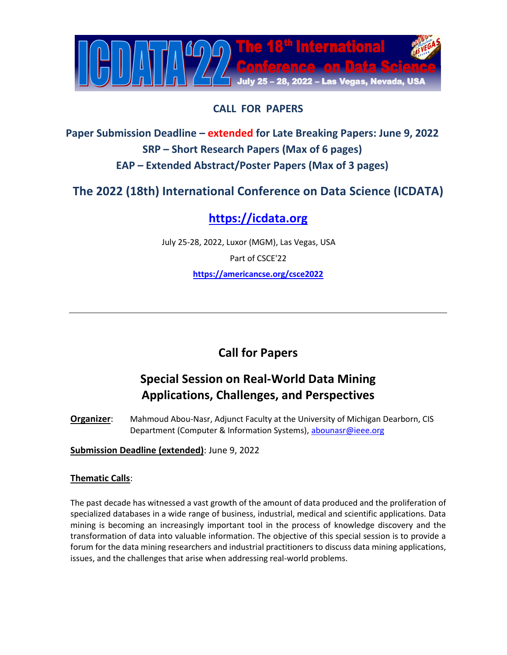

#### **CALL FOR PAPERS**

**Paper Submission Deadline – extended for Late Breaking Papers: June 9, 2022 SRP – Short Research Papers (Max of 6 pages) EAP – Extended Abstract/Poster Papers (Max of 3 pages)**

**The 2022 (18th) International Conference on Data Science (ICDATA)**

## **[https://icdata.org](https://icdata.org/)**

July 25-28, 2022, Luxor (MGM), Las Vegas, USA Part of CSCE'22 **<https://americancse.org/csce2022>**

### **Call for Papers**

# **Special Session on Real-World Data Mining Applications, Challenges, and Perspectives**

**Organizer**: Mahmoud Abou-Nasr, Adjunct Faculty at the University of Michigan Dearborn, CIS Department (Computer & Information Systems), [abounasr@ieee.org](mailto:abounasr@ieee.org?subject=ICDATA22%20-%20Special%20Session%20RWACP)

**Submission Deadline (extended)**: June 9, 2022

#### **Thematic Calls**:

The past decade has witnessed a vast growth of the amount of data produced and the proliferation of specialized databases in a wide range of business, industrial, medical and scientific applications. Data mining is becoming an increasingly important tool in the process of knowledge discovery and the transformation of data into valuable information. The objective of this special session is to provide a forum for the data mining researchers and industrial practitioners to discuss data mining applications, issues, and the challenges that arise when addressing real-world problems.